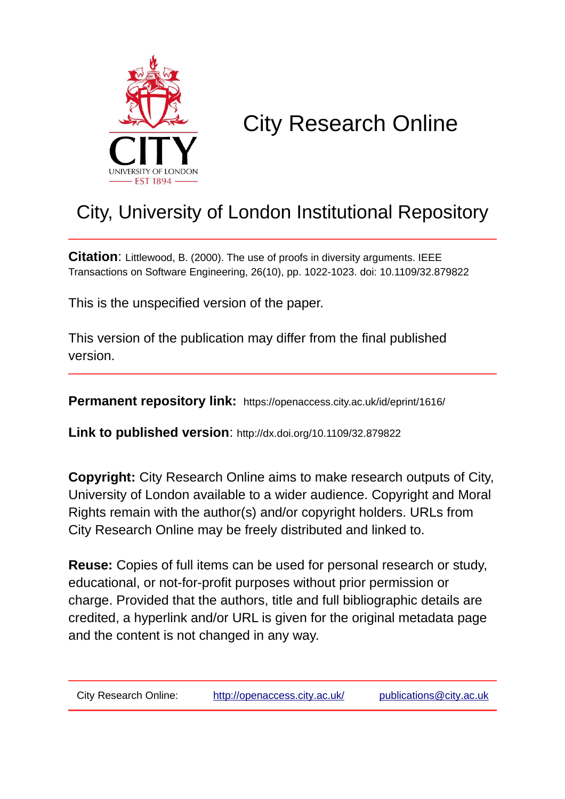

# City Research Online

# City, University of London Institutional Repository

**Citation**: Littlewood, B. (2000). The use of proofs in diversity arguments. IEEE Transactions on Software Engineering, 26(10), pp. 1022-1023. doi: 10.1109/32.879822

This is the unspecified version of the paper.

This version of the publication may differ from the final published version.

**Permanent repository link:** https://openaccess.city.ac.uk/id/eprint/1616/

**Link to published version**: http://dx.doi.org/10.1109/32.879822

**Copyright:** City Research Online aims to make research outputs of City, University of London available to a wider audience. Copyright and Moral Rights remain with the author(s) and/or copyright holders. URLs from City Research Online may be freely distributed and linked to.

**Reuse:** Copies of full items can be used for personal research or study, educational, or not-for-profit purposes without prior permission or charge. Provided that the authors, title and full bibliographic details are credited, a hyperlink and/or URL is given for the original metadata page and the content is not changed in any way.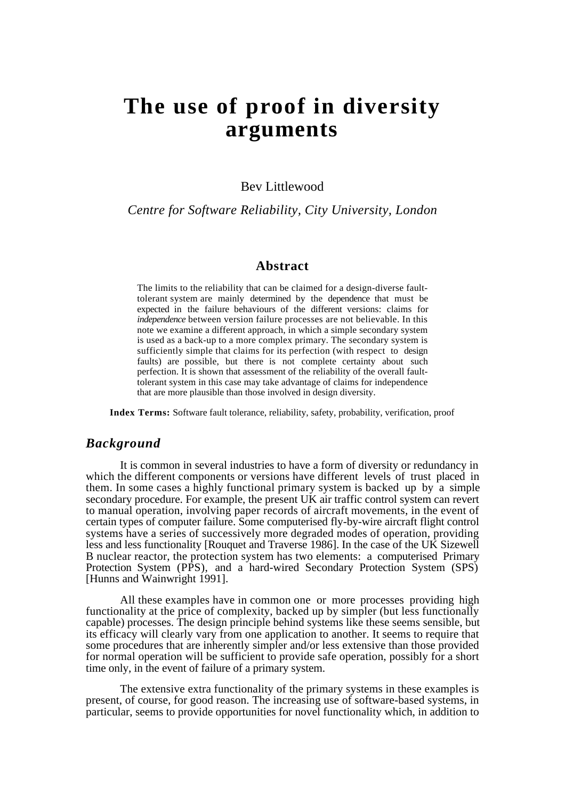# **The use of proof in diversity arguments**

Bev Littlewood

*Centre for Software Reliability, City University, London*

#### **Abstract**

The limits to the reliability that can be claimed for a design-diverse faulttolerant system are mainly determined by the dependence that must be expected in the failure behaviours of the different versions: claims for *independence* between version failure processes are not believable. In this note we examine a different approach, in which a simple secondary system is used as a back-up to a more complex primary. The secondary system is sufficiently simple that claims for its perfection (with respect to design faults) are possible, but there is not complete certainty about such perfection. It is shown that assessment of the reliability of the overall faulttolerant system in this case may take advantage of claims for independence that are more plausible than those involved in design diversity.

**Index Terms:** Software fault tolerance, reliability, safety, probability, verification, proof

#### *Background*

It is common in several industries to have a form of diversity or redundancy in which the different components or versions have different levels of trust placed in them. In some cases a highly functional primary system is backed up by a simple secondary procedure. For example, the present UK air traffic control system can revert to manual operation, involving paper records of aircraft movements, in the event of certain types of computer failure. Some computerised fly-by-wire aircraft flight control systems have a series of successively more degraded modes of operation, providing less and less functionality [Rouquet and Traverse 1986]. In the case of the UK Sizewell B nuclear reactor, the protection system has two elements: a computerised Primary Protection System (PPS), and a hard-wired Secondary Protection System (SPS) [Hunns and Wainwright 1991].

All these examples have in common one or more processes providing high functionality at the price of complexity, backed up by simpler (but less functionally capable) processes. The design principle behind systems like these seems sensible, but its efficacy will clearly vary from one application to another. It seems to require that some procedures that are inherently simpler and/or less extensive than those provided for normal operation will be sufficient to provide safe operation, possibly for a short time only, in the event of failure of a primary system.

The extensive extra functionality of the primary systems in these examples is present, of course, for good reason. The increasing use of software-based systems, in particular, seems to provide opportunities for novel functionality which, in addition to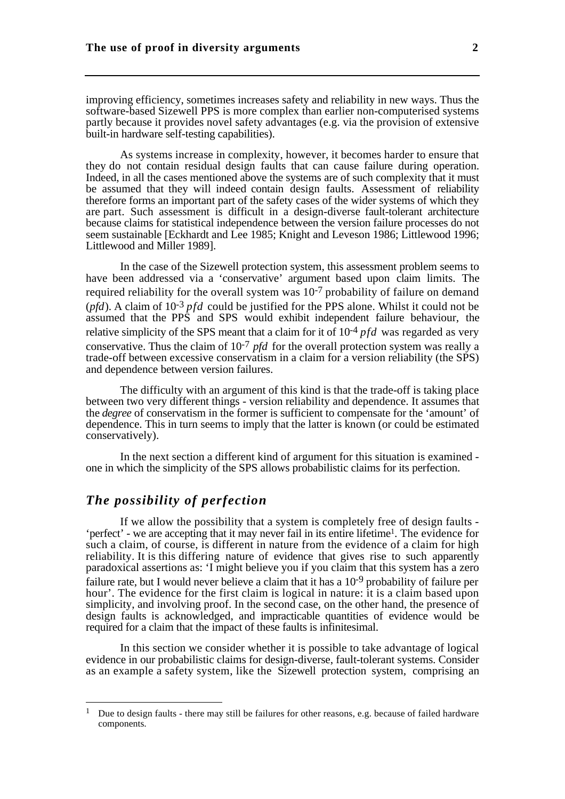improving efficiency, sometimes increases safety and reliability in new ways. Thus the software-based Sizewell PPS is more complex than earlier non-computerised systems partly because it provides novel safety advantages (e.g. via the provision of extensive built-in hardware self-testing capabilities).

As systems increase in complexity, however, it becomes harder to ensure that they do not contain residual design faults that can cause failure during operation. Indeed, in all the cases mentioned above the systems are of such complexity that it must be assumed that they will indeed contain design faults. Assessment of reliability therefore forms an important part of the safety cases of the wider systems of which they are part. Such assessment is difficult in a design-diverse fault-tolerant architecture because claims for statistical independence between the version failure processes do not seem sustainable [Eckhardt and Lee 1985; Knight and Leveson 1986; Littlewood 1996; Littlewood and Miller 1989].

In the case of the Sizewell protection system, this assessment problem seems to have been addressed via a 'conservative' argument based upon claim limits. The required reliability for the overall system was 10-7 probability of failure on demand (*pfd*). A claim of 10-3 *pfd* could be justified for the PPS alone. Whilst it could not be assumed that the PPS and SPS would exhibit independent failure behaviour, the relative simplicity of the SPS meant that a claim for it of 10-4 *pfd* was regarded as very conservative. Thus the claim of 10-7 *pfd* for the overall protection system was really a trade-off between excessive conservatism in a claim for a version reliability (the SPS) and dependence between version failures.

The difficulty with an argument of this kind is that the trade-off is taking place between two very different things - version reliability and dependence. It assumes that the *degree* of conservatism in the former is sufficient to compensate for the 'amount' of dependence. This in turn seems to imply that the latter is known (or could be estimated conservatively).

In the next section a different kind of argument for this situation is examined one in which the simplicity of the SPS allows probabilistic claims for its perfection.

### *The possibility of perfection*

 $\overline{a}$ 

If we allow the possibility that a system is completely free of design faults - 'perfect' - we are accepting that it may never fail in its entire lifetime1. The evidence for such a claim, of course, is different in nature from the evidence of a claim for high reliability. It is this differing nature of evidence that gives rise to such apparently paradoxical assertions as: 'I might believe you if you claim that this system has a zero failure rate, but I would never believe a claim that it has a 10<sup>-9</sup> probability of failure per hour'. The evidence for the first claim is logical in nature: it is a claim based upon simplicity, and involving proof. In the second case, on the other hand, the presence of design faults is acknowledged, and impracticable quantities of evidence would be required for a claim that the impact of these faults is infinitesimal.

In this section we consider whether it is possible to take advantage of logical evidence in our probabilistic claims for design-diverse, fault-tolerant systems. Consider as an example a safety system, like the Sizewell protection system, comprising an

<sup>&</sup>lt;sup>1</sup> Due to design faults - there may still be failures for other reasons, e.g. because of failed hardware components.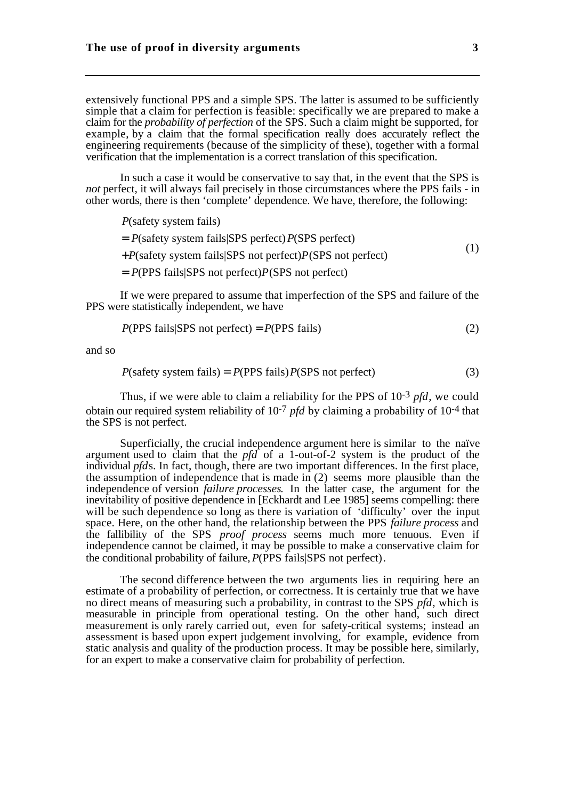extensively functional PPS and a simple SPS. The latter is assumed to be sufficiently simple that a claim for perfection is feasible: specifically we are prepared to make a claim for the *probability of perfection* of the SPS. Such a claim might be supported, for example, by a claim that the formal specification really does accurately reflect the engineering requirements (because of the simplicity of these), together with a formal verification that the implementation is a correct translation of this specification.

In such a case it would be conservative to say that, in the event that the SPS is *not* perfect, it will always fail precisely in those circumstances where the PPS fails - in other words, there is then 'complete' dependence. We have, therefore, the following:

*P*(safety system fails)

$$
= P(\text{safety system fails} | \text{SPS perfect}) P(\text{SPS perfect})
$$
\n(1)

+*P*(safety system fails|SPS not perfect)*P*(SPS not perfect)

= *P*(PPS fails|SPS not perfect)*P*(SPS not perfect)

If we were prepared to assume that imperfection of the SPS and failure of the PPS were statistically independent, we have

$$
P(PPS fails|SPS not perfect) = P(PPS fails)
$$
\n(2)

and so

$$
P(safety system fails) = P(PPS fails) P(SPS not perfect)
$$
\n(3)

Thus, if we were able to claim a reliability for the PPS of 10-3 *pfd*, we could obtain our required system reliability of 10-7 *pfd* by claiming a probability of 10-4 that the SPS is not perfect.

Superficially, the crucial independence argument here is similar to the naïve argument used to claim that the *pfd* of a 1-out-of-2 system is the product of the individual *pfd*s. In fact, though, there are two important differences. In the first place, the assumption of independence that is made in (2) seems more plausible than the independence of version *failure processes*. In the latter case, the argument for the inevitability of positive dependence in [Eckhardt and Lee 1985] seems compelling: there will be such dependence so long as there is variation of 'difficulty' over the input space. Here, on the other hand, the relationship between the PPS *failure process* and the fallibility of the SPS *proof process* seems much more tenuous. Even if independence cannot be claimed, it may be possible to make a conservative claim for the conditional probability of failure, *P*(PPS fails|SPS not perfect).

The second difference between the two arguments lies in requiring here an estimate of a probability of perfection, or correctness. It is certainly true that we have no direct means of measuring such a probability, in contrast to the SPS *pfd*, which is measurable in principle from operational testing. On the other hand, such direct measurement is only rarely carried out, even for safety-critical systems; instead an assessment is based upon expert judgement involving, for example, evidence from static analysis and quality of the production process. It may be possible here, similarly, for an expert to make a conservative claim for probability of perfection.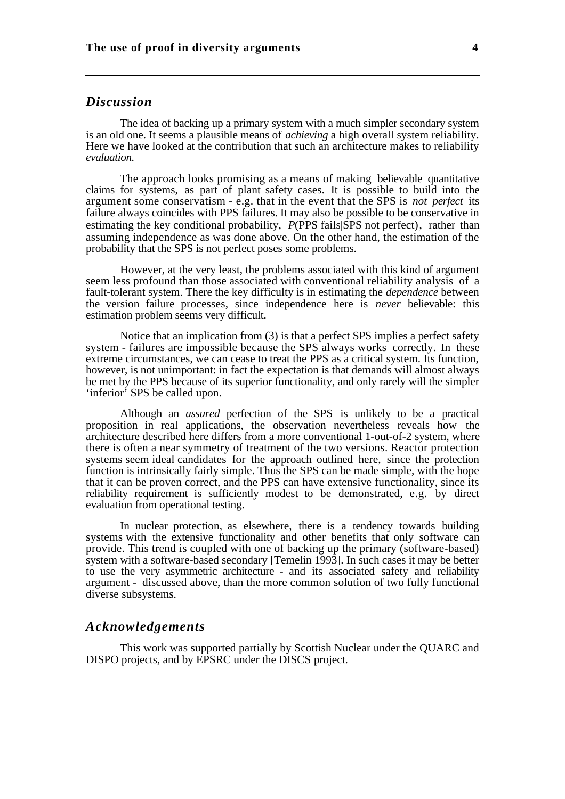### *Discussion*

The idea of backing up a primary system with a much simpler secondary system is an old one. It seems a plausible means of *achieving* a high overall system reliability. Here we have looked at the contribution that such an architecture makes to reliability *evaluation*.

The approach looks promising as a means of making believable quantitative claims for systems, as part of plant safety cases. It is possible to build into the argument some conservatism - e.g. that in the event that the SPS is *not perfect* its failure always coincides with PPS failures. It may also be possible to be conservative in estimating the key conditional probability, *P*(PPS fails)SPS not perfect), rather than assuming independence as was done above. On the other hand, the estimation of the probability that the SPS is not perfect poses some problems.

However, at the very least, the problems associated with this kind of argument seem less profound than those associated with conventional reliability analysis of a fault-tolerant system. There the key difficulty is in estimating the *dependence* between the version failure processes, since independence here is *never* believable: this estimation problem seems very difficult.

Notice that an implication from (3) is that a perfect SPS implies a perfect safety system - failures are impossible because the SPS always works correctly. In these extreme circumstances, we can cease to treat the PPS as a critical system. Its function, however, is not unimportant: in fact the expectation is that demands will almost always be met by the PPS because of its superior functionality, and only rarely will the simpler 'inferior' SPS be called upon.

Although an *assured* perfection of the SPS is unlikely to be a practical proposition in real applications, the observation nevertheless reveals how the architecture described here differs from a more conventional 1-out-of-2 system, where there is often a near symmetry of treatment of the two versions. Reactor protection systems seem ideal candidates for the approach outlined here, since the protection function is intrinsically fairly simple. Thus the SPS can be made simple, with the hope that it can be proven correct, and the PPS can have extensive functionality, since its reliability requirement is sufficiently modest to be demonstrated, e.g. by direct evaluation from operational testing.

In nuclear protection, as elsewhere, there is a tendency towards building systems with the extensive functionality and other benefits that only software can provide. This trend is coupled with one of backing up the primary (software-based) system with a software-based secondary [Temelin 1993]. In such cases it may be better to use the very asymmetric architecture - and its associated safety and reliability argument - discussed above, than the more common solution of two fully functional diverse subsystems.

#### *Acknowledgements*

This work was supported partially by Scottish Nuclear under the QUARC and DISPO projects, and by EPSRC under the DISCS project.